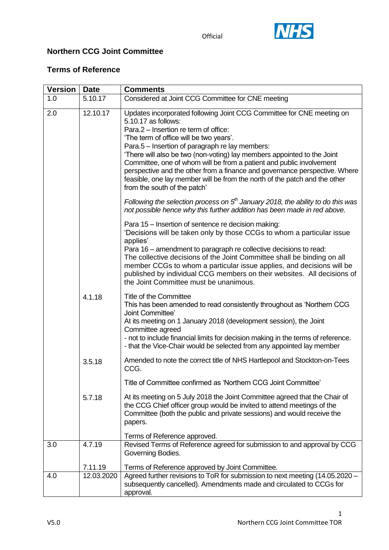



### **Northern CCG Joint Committee**

### **Terms of Reference**

| <b>Version</b> | <b>Date</b> | <b>Comments</b>                                                                                                                                                                                                                                                                                                                                                                                                                                                                                                                                                                    |
|----------------|-------------|------------------------------------------------------------------------------------------------------------------------------------------------------------------------------------------------------------------------------------------------------------------------------------------------------------------------------------------------------------------------------------------------------------------------------------------------------------------------------------------------------------------------------------------------------------------------------------|
| 1.0            | 5.10.17     | Considered at Joint CCG Committee for CNE meeting                                                                                                                                                                                                                                                                                                                                                                                                                                                                                                                                  |
| 2.0            | 12.10.17    | Updates incorporated following Joint CCG Committee for CNE meeting on<br>5.10.17 as follows:<br>Para.2 – Insertion re term of office:<br>'The term of office will be two years'.<br>Para.5 - Insertion of paragraph re lay members:<br>'There will also be two (non-voting) lay members appointed to the Joint<br>Committee, one of whom will be from a patient and public involvement<br>perspective and the other from a finance and governance perspective. Where<br>feasible, one lay member will be from the north of the patch and the other<br>from the south of the patch' |
|                |             | Following the selection process on $5th$ January 2018, the ability to do this was<br>not possible hence why this further addition has been made in red above.                                                                                                                                                                                                                                                                                                                                                                                                                      |
|                |             | Para 15 – Insertion of sentence re decision making:<br>'Decisions will be taken only by those CCGs to whom a particular issue<br>applies'<br>Para 16 – amendment to paragraph re collective decisions to read:<br>The collective decisions of the Joint Committee shall be binding on all<br>member CCGs to whom a particular issue applies, and decisions will be<br>published by individual CCG members on their websites. All decisions of<br>the Joint Committee must be unanimous.                                                                                            |
|                | 4.1.18      | <b>Title of the Committee</b><br>This has been amended to read consistently throughout as 'Northern CCG<br>Joint Committee'<br>At its meeting on 1 January 2018 (development session), the Joint<br>Committee agreed<br>- not to include financial limits for decision making in the terms of reference.<br>- that the Vice-Chair would be selected from any appointed lay member                                                                                                                                                                                                  |
|                | 3.5.18      | Amended to note the correct title of NHS Hartlepool and Stockton-on-Tees<br>CCG.                                                                                                                                                                                                                                                                                                                                                                                                                                                                                                   |
|                |             | Title of Committee confirmed as 'Northern CCG Joint Committee'                                                                                                                                                                                                                                                                                                                                                                                                                                                                                                                     |
|                | 5.7.18      | At its meeting on 5 July 2018 the Joint Committee agreed that the Chair of<br>the CCG Chief officer group would be invited to attend meetings of the<br>Committee (both the public and private sessions) and would receive the<br>papers.                                                                                                                                                                                                                                                                                                                                          |
|                |             | Terms of Reference approved.                                                                                                                                                                                                                                                                                                                                                                                                                                                                                                                                                       |
| 3.0            | 4.7.19      | Revised Terms of Reference agreed for submission to and approval by CCG<br>Governing Bodies.                                                                                                                                                                                                                                                                                                                                                                                                                                                                                       |
|                | 7.11.19     | Terms of Reference approved by Joint Committee.                                                                                                                                                                                                                                                                                                                                                                                                                                                                                                                                    |
| 4.0            | 12.03.2020  | Agreed further revisions to ToR for submission to next meeting (14.05.2020 -<br>subsequently cancelled). Amendments made and circulated to CCGs for<br>approval.                                                                                                                                                                                                                                                                                                                                                                                                                   |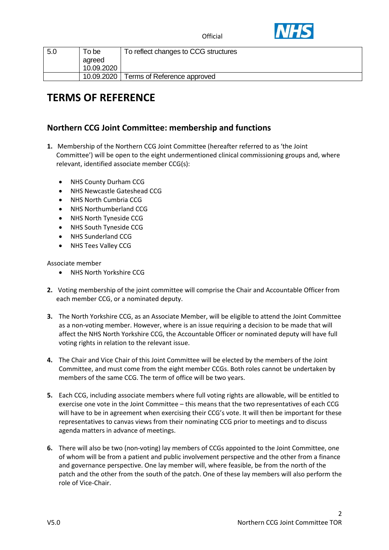



| 5.0 | To be                | To reflect changes to CCG structures |
|-----|----------------------|--------------------------------------|
|     | agreed<br>10.09.2020 |                                      |
|     |                      |                                      |
|     | 10.09.2020           | Terms of Reference approved          |

# **TERMS OF REFERENCE**

### **Northern CCG Joint Committee: membership and functions**

- **1.** Membership of the Northern CCG Joint Committee (hereafter referred to as 'the Joint Committee') will be open to the eight undermentioned clinical commissioning groups and, where relevant, identified associate member CCG(s):
	- NHS County Durham CCG
	- NHS Newcastle Gateshead CCG
	- NHS North Cumbria CCG
	- NHS Northumberland CCG
	- NHS North Tyneside CCG
	- NHS South Tyneside CCG
	- NHS Sunderland CCG
	- NHS Tees Valley CCG

Associate member

- NHS North Yorkshire CCG
- **2.** Voting membership of the joint committee will comprise the Chair and Accountable Officer from each member CCG, or a nominated deputy.
- **3.** The North Yorkshire CCG, as an Associate Member, will be eligible to attend the Joint Committee as a non-voting member. However, where is an issue requiring a decision to be made that will affect the NHS North Yorkshire CCG, the Accountable Officer or nominated deputy will have full voting rights in relation to the relevant issue.
- **4.** The Chair and Vice Chair of this Joint Committee will be elected by the members of the Joint Committee, and must come from the eight member CCGs. Both roles cannot be undertaken by members of the same CCG. The term of office will be two years.
- **5.** Each CCG, including associate members where full voting rights are allowable, will be entitled to exercise one vote in the Joint Committee – this means that the two representatives of each CCG will have to be in agreement when exercising their CCG's vote. It will then be important for these representatives to canvas views from their nominating CCG prior to meetings and to discuss agenda matters in advance of meetings.
- **6.** There will also be two (non-voting) lay members of CCGs appointed to the Joint Committee, one of whom will be from a patient and public involvement perspective and the other from a finance and governance perspective. One lay member will, where feasible, be from the north of the patch and the other from the south of the patch. One of these lay members will also perform the role of Vice-Chair.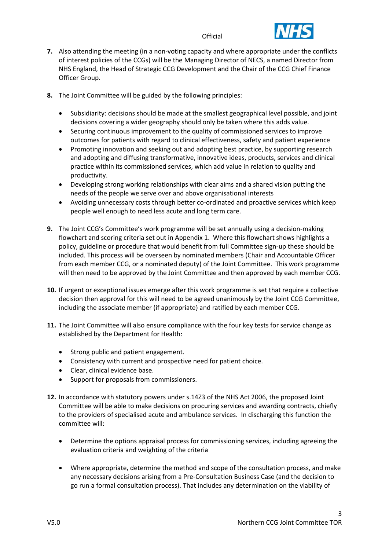

- **7.** Also attending the meeting (in a non-voting capacity and where appropriate under the conflicts of interest policies of the CCGs) will be the Managing Director of NECS, a named Director from NHS England, the Head of Strategic CCG Development and the Chair of the CCG Chief Finance Officer Group.
- **8.** The Joint Committee will be guided by the following principles:
	- Subsidiarity: decisions should be made at the smallest geographical level possible, and joint decisions covering a wider geography should only be taken where this adds value.
	- Securing continuous improvement to the quality of commissioned services to improve outcomes for patients with regard to clinical effectiveness, safety and patient experience
	- Promoting innovation and seeking out and adopting best practice, by supporting research and adopting and diffusing transformative, innovative ideas, products, services and clinical practice within its commissioned services, which add value in relation to quality and productivity.
	- Developing strong working relationships with clear aims and a shared vision putting the needs of the people we serve over and above organisational interests
	- Avoiding unnecessary costs through better co-ordinated and proactive services which keep people well enough to need less acute and long term care.
- **9.** The Joint CCG's Committee's work programme will be set annually using a decision-making flowchart and scoring criteria set out in Appendix 1. Where this flowchart shows highlights a policy, guideline or procedure that would benefit from full Committee sign-up these should be included. This process will be overseen by nominated members (Chair and Accountable Officer from each member CCG, or a nominated deputy) of the Joint Committee. This work programme will then need to be approved by the Joint Committee and then approved by each member CCG.
- **10.** If urgent or exceptional issues emerge after this work programme is set that require a collective decision then approval for this will need to be agreed unanimously by the Joint CCG Committee, including the associate member (if appropriate) and ratified by each member CCG.
- **11.** The Joint Committee will also ensure compliance with the four key tests for service change as established by the Department for Health:
	- Strong public and patient engagement.
	- Consistency with current and prospective need for patient choice.
	- Clear, clinical evidence base.
	- Support for proposals from commissioners.
- **12.** In accordance with statutory powers under s.14Z3 of the NHS Act 2006, the proposed Joint Committee will be able to make decisions on procuring services and awarding contracts, chiefly to the providers of specialised acute and ambulance services. In discharging this function the committee will:
	- Determine the options appraisal process for commissioning services, including agreeing the evaluation criteria and weighting of the criteria
	- Where appropriate, determine the method and scope of the consultation process, and make any necessary decisions arising from a Pre-Consultation Business Case (and the decision to go run a formal consultation process). That includes any determination on the viability of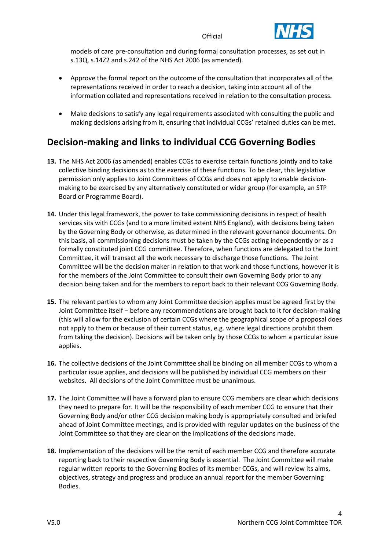

models of care pre-consultation and during formal consultation processes, as set out in s.13Q, s.14Z2 and s.242 of the NHS Act 2006 (as amended).

- Approve the formal report on the outcome of the consultation that incorporates all of the representations received in order to reach a decision, taking into account all of the information collated and representations received in relation to the consultation process.
- Make decisions to satisfy any legal requirements associated with consulting the public and making decisions arising from it, ensuring that individual CCGs' retained duties can be met.

## **Decision-making and links to individual CCG Governing Bodies**

- **13.** The NHS Act 2006 (as amended) enables CCGs to exercise certain functions jointly and to take collective binding decisions as to the exercise of these functions. To be clear, this legislative permission only applies to Joint Committees of CCGs and does not apply to enable decisionmaking to be exercised by any alternatively constituted or wider group (for example, an STP Board or Programme Board).
- **14.** Under this legal framework, the power to take commissioning decisions in respect of health services sits with CCGs (and to a more limited extent NHS England), with decisions being taken by the Governing Body or otherwise, as determined in the relevant governance documents. On this basis, all commissioning decisions must be taken by the CCGs acting independently or as a formally constituted joint CCG committee. Therefore, when functions are delegated to the Joint Committee, it will transact all the work necessary to discharge those functions. The Joint Committee will be the decision maker in relation to that work and those functions, however it is for the members of the Joint Committee to consult their own Governing Body prior to any decision being taken and for the members to report back to their relevant CCG Governing Body.
- **15.** The relevant parties to whom any Joint Committee decision applies must be agreed first by the Joint Committee itself – before any recommendations are brought back to it for decision-making (this will allow for the exclusion of certain CCGs where the geographical scope of a proposal does not apply to them or because of their current status, e.g. where legal directions prohibit them from taking the decision). Decisions will be taken only by those CCGs to whom a particular issue applies.
- **16.** The collective decisions of the Joint Committee shall be binding on all member CCGs to whom a particular issue applies, and decisions will be published by individual CCG members on their websites. All decisions of the Joint Committee must be unanimous.
- **17.** The Joint Committee will have a forward plan to ensure CCG members are clear which decisions they need to prepare for. It will be the responsibility of each member CCG to ensure that their Governing Body and/or other CCG decision making body is appropriately consulted and briefed ahead of Joint Committee meetings, and is provided with regular updates on the business of the Joint Committee so that they are clear on the implications of the decisions made.
- **18.** Implementation of the decisions will be the remit of each member CCG and therefore accurate reporting back to their respective Governing Body is essential. The Joint Committee will make regular written reports to the Governing Bodies of its member CCGs, and will review its aims, objectives, strategy and progress and produce an annual report for the member Governing Bodies.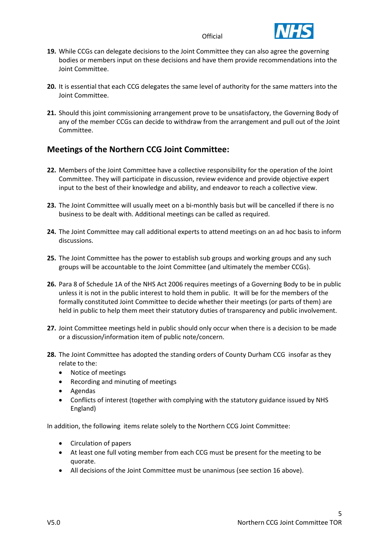

- **19.** While CCGs can delegate decisions to the Joint Committee they can also agree the governing bodies or members input on these decisions and have them provide recommendations into the Joint Committee.
- **20.** It is essential that each CCG delegates the same level of authority for the same matters into the Joint Committee.
- **21.** Should this joint commissioning arrangement prove to be unsatisfactory, the Governing Body of any of the member CCGs can decide to withdraw from the arrangement and pull out of the Joint Committee.

### **Meetings of the Northern CCG Joint Committee:**

- **22.** Members of the Joint Committee have a collective responsibility for the operation of the Joint Committee. They will participate in discussion, review evidence and provide objective expert input to the best of their knowledge and ability, and endeavor to reach a collective view.
- **23.** The Joint Committee will usually meet on a bi-monthly basis but will be cancelled if there is no business to be dealt with. Additional meetings can be called as required.
- **24.** The Joint Committee may call additional experts to attend meetings on an ad hoc basis to inform discussions.
- **25.** The Joint Committee has the power to establish sub groups and working groups and any such groups will be accountable to the Joint Committee (and ultimately the member CCGs).
- **26.** Para 8 of Schedule 1A of the NHS Act 2006 requires meetings of a Governing Body to be in public unless it is not in the public interest to hold them in public. It will be for the members of the formally constituted Joint Committee to decide whether their meetings (or parts of them) are held in public to help them meet their statutory duties of transparency and public involvement.
- **27.** Joint Committee meetings held in public should only occur when there is a decision to be made or a discussion/information item of public note/concern.
- **28.** The Joint Committee has adopted the standing orders of County Durham CCG insofar as they relate to the:
	- Notice of meetings
	- Recording and minuting of meetings
	- Agendas
	- Conflicts of interest (together with complying with the statutory guidance issued by NHS England)

In addition, the following items relate solely to the Northern CCG Joint Committee:

- Circulation of papers
- At least one full voting member from each CCG must be present for the meeting to be quorate.
- All decisions of the Joint Committee must be unanimous (see section 16 above).